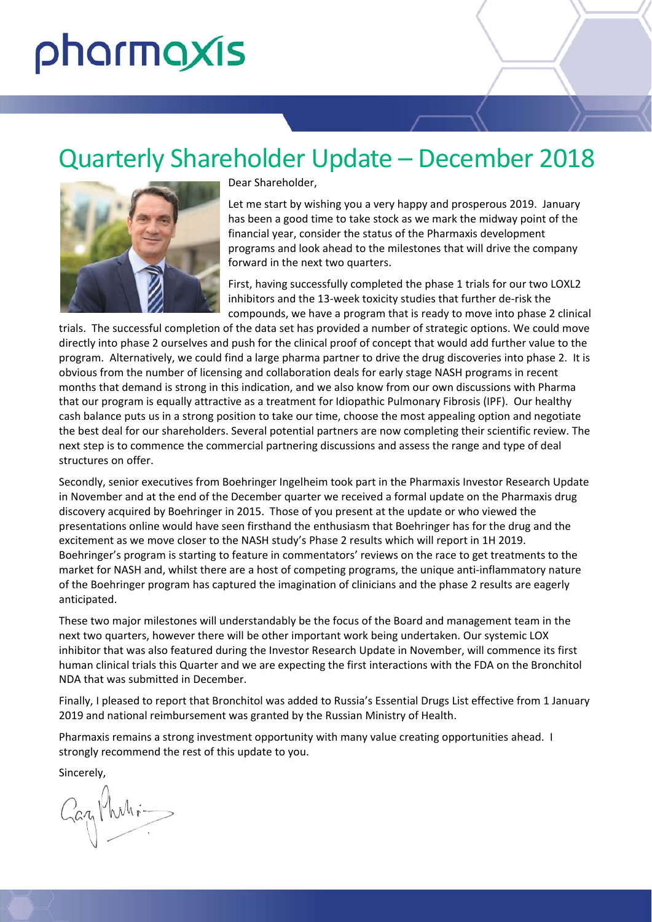# pharmaxis

# Quarterly Shareholder Update – December 2018



Dear Shareholder,

Let me start by wishing you a very happy and prosperous 2019. January has been a good time to take stock as we mark the midway point of the financial year, consider the status of the Pharmaxis development programs and look ahead to the milestones that will drive the company forward in the next two quarters.

First, having successfully completed the phase 1 trials for our two LOXL2 inhibitors and the 13‐week toxicity studies that further de‐risk the compounds, we have a program that is ready to move into phase 2 clinical

trials. The successful completion of the data set has provided a number of strategic options. We could move directly into phase 2 ourselves and push for the clinical proof of concept that would add further value to the program. Alternatively, we could find a large pharma partner to drive the drug discoveries into phase 2. It is obvious from the number of licensing and collaboration deals for early stage NASH programs in recent months that demand is strong in this indication, and we also know from our own discussions with Pharma that our program is equally attractive as a treatment for Idiopathic Pulmonary Fibrosis (IPF). Our healthy cash balance puts us in a strong position to take our time, choose the most appealing option and negotiate the best deal for our shareholders. Several potential partners are now completing their scientific review. The next step is to commence the commercial partnering discussions and assess the range and type of deal structures on offer.

Secondly, senior executives from Boehringer Ingelheim took part in the Pharmaxis Investor Research Update in November and at the end of the December quarter we received a formal update on the Pharmaxis drug discovery acquired by Boehringer in 2015. Those of you present at the update or who viewed the presentations online would have seen firsthand the enthusiasm that Boehringer has for the drug and the excitement as we move closer to the NASH study's Phase 2 results which will report in 1H 2019. Boehringer's program is starting to feature in commentators' reviews on the race to get treatments to the market for NASH and, whilst there are a host of competing programs, the unique anti-inflammatory nature of the Boehringer program has captured the imagination of clinicians and the phase 2 results are eagerly anticipated.

These two major milestones will understandably be the focus of the Board and management team in the next two quarters, however there will be other important work being undertaken. Our systemic LOX inhibitor that was also featured during the Investor Research Update in November, will commence its first human clinical trials this Quarter and we are expecting the first interactions with the FDA on the Bronchitol NDA that was submitted in December.

Finally, I pleased to report that Bronchitol was added to Russia's Essential Drugs List effective from 1 January 2019 and national reimbursement was granted by the Russian Ministry of Health.

Pharmaxis remains a strong investment opportunity with many value creating opportunities ahead. I strongly recommend the rest of this update to you.

Sincerely,

Zazy Mahi-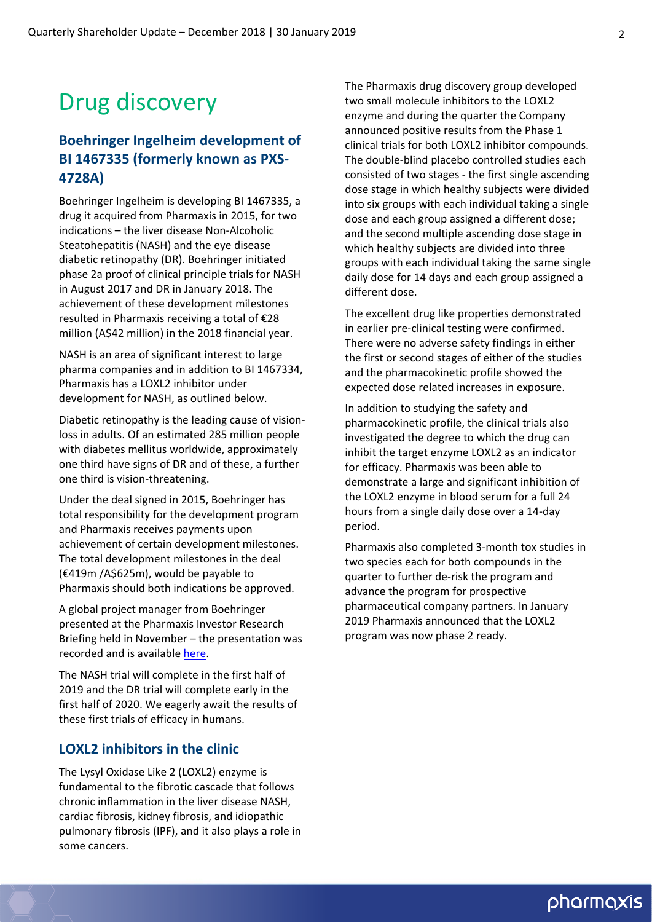# Drug discovery

#### **Boehringer Ingelheim development of BI 1467335 (formerly known as PXS‐ 4728A)**

Boehringer Ingelheim is developing BI 1467335, a drug it acquired from Pharmaxis in 2015, for two indications – the liver disease Non‐Alcoholic Steatohepatitis (NASH) and the eye disease diabetic retinopathy (DR). Boehringer initiated phase 2a proof of clinical principle trials for NASH in August 2017 and DR in January 2018. The achievement of these development milestones resulted in Pharmaxis receiving a total of €28 million (A\$42 million) in the 2018 financial year.

NASH is an area of significant interest to large pharma companies and in addition to BI 1467334, Pharmaxis has a LOXL2 inhibitor under development for NASH, as outlined below.

Diabetic retinopathy is the leading cause of vision‐ loss in adults. Of an estimated 285 million people with diabetes mellitus worldwide, approximately one third have signs of DR and of these, a further one third is vision‐threatening.

Under the deal signed in 2015, Boehringer has total responsibility for the development program and Pharmaxis receives payments upon achievement of certain development milestones. The total development milestones in the deal (€419m /A\$625m), would be payable to Pharmaxis should both indications be approved.

A global project manager from Boehringer presented at the Pharmaxis Investor Research Briefing held in November – the presentation was recorded and is available [here](http://www.pharmaxis.com.au/investor-centre/news/view/pharmaxis-investor-reserach-briefing-20-november-2018).

The NASH trial will complete in the first half of 2019 and the DR trial will complete early in the first half of 2020. We eagerly await the results of these first trials of efficacy in humans.

#### **LOXL2 inhibitors in the clinic**

The Lysyl Oxidase Like 2 (LOXL2) enzyme is fundamental to the fibrotic cascade that follows chronic inflammation in the liver disease NASH, cardiac fibrosis, kidney fibrosis, and idiopathic pulmonary fibrosis (IPF), and it also plays a role in some cancers.

The Pharmaxis drug discovery group developed two small molecule inhibitors to the LOXL2 enzyme and during the quarter the Company announced positive results from the Phase 1 clinical trials for both LOXL2 inhibitor compounds. The double‐blind placebo controlled studies each consisted of two stages ‐ the first single ascending dose stage in which healthy subjects were divided into six groups with each individual taking a single dose and each group assigned a different dose; and the second multiple ascending dose stage in which healthy subjects are divided into three groups with each individual taking the same single daily dose for 14 days and each group assigned a different dose.

The excellent drug like properties demonstrated in earlier pre‐clinical testing were confirmed. There were no adverse safety findings in either the first or second stages of either of the studies and the pharmacokinetic profile showed the expected dose related increases in exposure.

In addition to studying the safety and pharmacokinetic profile, the clinical trials also investigated the degree to which the drug can inhibit the target enzyme LOXL2 as an indicator for efficacy. Pharmaxis was been able to demonstrate a large and significant inhibition of the LOXL2 enzyme in blood serum for a full 24 hours from a single daily dose over a 14‐day period.

Pharmaxis also completed 3‐month tox studies in two species each for both compounds in the quarter to further de‐risk the program and advance the program for prospective pharmaceutical company partners. In January 2019 Pharmaxis announced that the LOXL2 program was now phase 2 ready.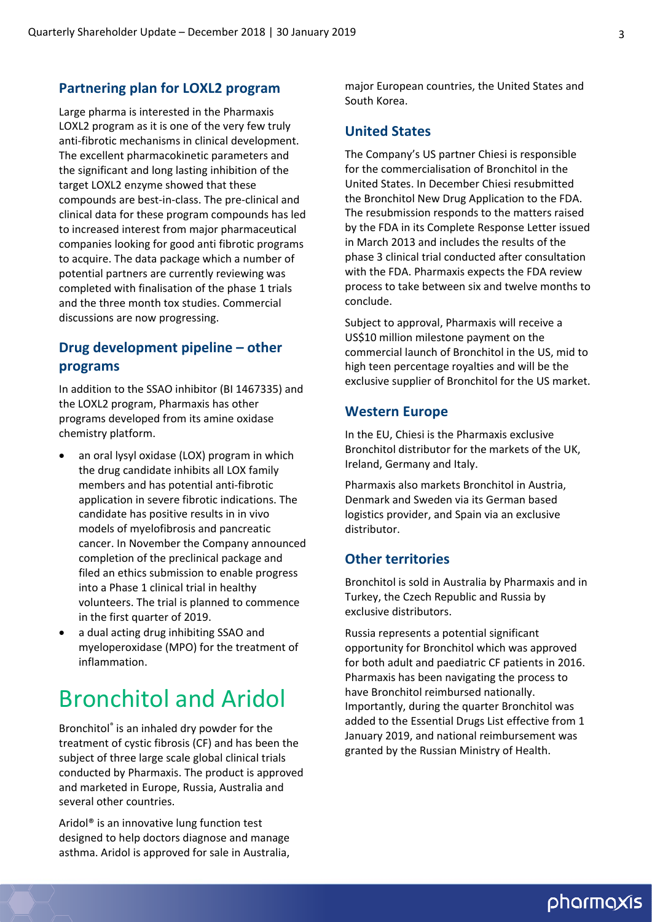#### **Partnering plan for LOXL2 program**

Large pharma is interested in the Pharmaxis LOXL2 program as it is one of the very few truly anti‐fibrotic mechanisms in clinical development. The excellent pharmacokinetic parameters and the significant and long lasting inhibition of the target LOXL2 enzyme showed that these compounds are best‐in‐class. The pre‐clinical and clinical data for these program compounds has led to increased interest from major pharmaceutical companies looking for good anti fibrotic programs to acquire. The data package which a number of potential partners are currently reviewing was completed with finalisation of the phase 1 trials and the three month tox studies. Commercial discussions are now progressing.

#### **Drug development pipeline – other programs**

In addition to the SSAO inhibitor (BI 1467335) and the LOXL2 program, Pharmaxis has other programs developed from its amine oxidase chemistry platform.

- an oral lysyl oxidase (LOX) program in which the drug candidate inhibits all LOX family members and has potential anti‐fibrotic application in severe fibrotic indications. The candidate has positive results in in vivo models of myelofibrosis and pancreatic cancer. In November the Company announced completion of the preclinical package and filed an ethics submission to enable progress into a Phase 1 clinical trial in healthy volunteers. The trial is planned to commence in the first quarter of 2019.
- a dual acting drug inhibiting SSAO and myeloperoxidase (MPO) for the treatment of inflammation.

### Bronchitol and Aridol

Bronchitol® is an inhaled dry powder for the treatment of cystic fibrosis (CF) and has been the subject of three large scale global clinical trials conducted by Pharmaxis. The product is approved and marketed in Europe, Russia, Australia and several other countries.

Aridol® is an innovative lung function test designed to help doctors diagnose and manage asthma. Aridol is approved for sale in Australia,

major European countries, the United States and South Korea.

#### **United States**

The Company's US partner Chiesi is responsible for the commercialisation of Bronchitol in the United States. In December Chiesi resubmitted the Bronchitol New Drug Application to the FDA. The resubmission responds to the matters raised by the FDA in its Complete Response Letter issued in March 2013 and includes the results of the phase 3 clinical trial conducted after consultation with the FDA. Pharmaxis expects the FDA review process to take between six and twelve months to conclude.

Subject to approval, Pharmaxis will receive a US\$10 million milestone payment on the commercial launch of Bronchitol in the US, mid to high teen percentage royalties and will be the exclusive supplier of Bronchitol for the US market.

#### **Western Europe**

In the EU, Chiesi is the Pharmaxis exclusive Bronchitol distributor for the markets of the UK, Ireland, Germany and Italy.

Pharmaxis also markets Bronchitol in Austria, Denmark and Sweden via its German based logistics provider, and Spain via an exclusive distributor.

#### **Other territories**

Bronchitol is sold in Australia by Pharmaxis and in Turkey, the Czech Republic and Russia by exclusive distributors.

Russia represents a potential significant opportunity for Bronchitol which was approved for both adult and paediatric CF patients in 2016. Pharmaxis has been navigating the process to have Bronchitol reimbursed nationally. Importantly, during the quarter Bronchitol was added to the Essential Drugs List effective from 1 January 2019, and national reimbursement was granted by the Russian Ministry of Health.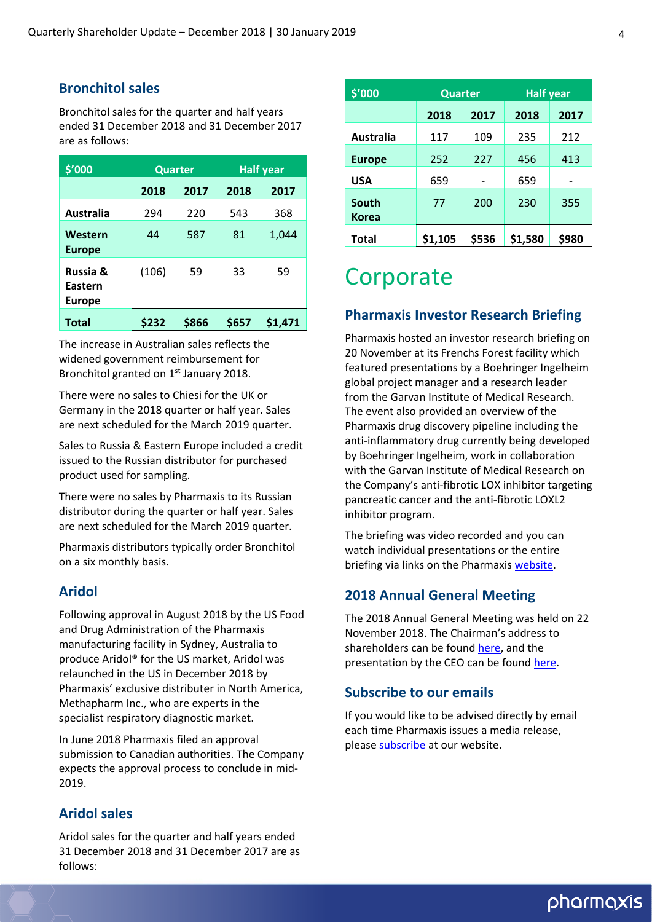#### **Bronchitol sales**

Bronchitol sales for the quarter and half years ended 31 December 2018 and 31 December 2017 are as follows:

| \$'000                                          | <b>Quarter</b> |       | <b>Half year</b> |         |  |
|-------------------------------------------------|----------------|-------|------------------|---------|--|
|                                                 | 2018           | 2017  | 2018             | 2017    |  |
| Australia                                       | 294            | 220   | 543              | 368     |  |
| Western<br><b>Europe</b>                        | 44             | 587   | 81               | 1,044   |  |
| <b>Russia &amp;</b><br>Eastern<br><b>Europe</b> | (106)          | 59    | 33               | 59      |  |
| <b>Total</b>                                    | \$232          | \$866 | \$657            | \$1,471 |  |

The increase in Australian sales reflects the widened government reimbursement for Bronchitol granted on 1<sup>st</sup> January 2018.

There were no sales to Chiesi for the UK or Germany in the 2018 quarter or half year. Sales are next scheduled for the March 2019 quarter.

Sales to Russia & Eastern Europe included a credit issued to the Russian distributor for purchased product used for sampling.

There were no sales by Pharmaxis to its Russian distributor during the quarter or half year. Sales are next scheduled for the March 2019 quarter.

Pharmaxis distributors typically order Bronchitol on a six monthly basis.

#### **Aridol**

Following approval in August 2018 by the US Food and Drug Administration of the Pharmaxis manufacturing facility in Sydney, Australia to produce Aridol® for the US market, Aridol was relaunched in the US in December 2018 by Pharmaxis' exclusive distributer in North America, Methapharm Inc., who are experts in the specialist respiratory diagnostic market.

In June 2018 Pharmaxis filed an approval submission to Canadian authorities. The Company expects the approval process to conclude in mid‐ 2019.

#### **Aridol sales**

Aridol sales for the quarter and half years ended 31 December 2018 and 31 December 2017 are as follows:

| \$'000           | <b>Quarter</b> |       | <b>Half year</b> |       |  |
|------------------|----------------|-------|------------------|-------|--|
|                  | 2018           | 2017  | 2018             | 2017  |  |
| <b>Australia</b> | 117            | 109   | 235              | 212   |  |
| <b>Europe</b>    | 252            | 227   | 456              | 413   |  |
| USA              | 659            |       | 659              |       |  |
| South<br>Korea   | 77             | 200   | 230              | 355   |  |
| Total            | \$1,105        | \$536 | \$1,580          | \$980 |  |

### **Corporate**

#### **Pharmaxis Investor Research Briefing**

Pharmaxis hosted an investor research briefing on 20 November at its Frenchs Forest facility which featured presentations by a Boehringer Ingelheim global project manager and a research leader from the Garvan Institute of Medical Research. The event also provided an overview of the Pharmaxis drug discovery pipeline including the anti-inflammatory drug currently being developed by Boehringer Ingelheim, work in collaboration with the Garvan Institute of Medical Research on the Company's anti‐fibrotic LOX inhibitor targeting pancreatic cancer and the anti‐fibrotic LOXL2 inhibitor program.

The briefing was video recorded and you can watch individual presentations or the entire briefing via links on the Pharmaxis [website](http://www.pharmaxis.com.au/investor-centre/news/view/pharmaxis-investor-reserach-briefing-20-november-2018).

#### **2018 Annual General Meeting**

The 2018 Annual General Meeting was held on 22 November 2018. The Chairman's address to shareholders can be found [here](http://www.pharmaxis.com.au/assets/Documents/pdf/02018/ASX/PXS-2018-AGM-Chairman-Address-Final.pdf), and the presentation by the CEO can be found [here](http://www.pharmaxis.com.au/assets/Documents/pdf/02018/ASX/2018-11-22-PXS-AGM-CEO-Presentation.pdf).

#### **Subscribe to our emails**

If you would like to be advised directly by email each time Pharmaxis issues a media release, please [subscribe](http://www.pharmaxis.com.au/investor-centre/subscribe/) at our website.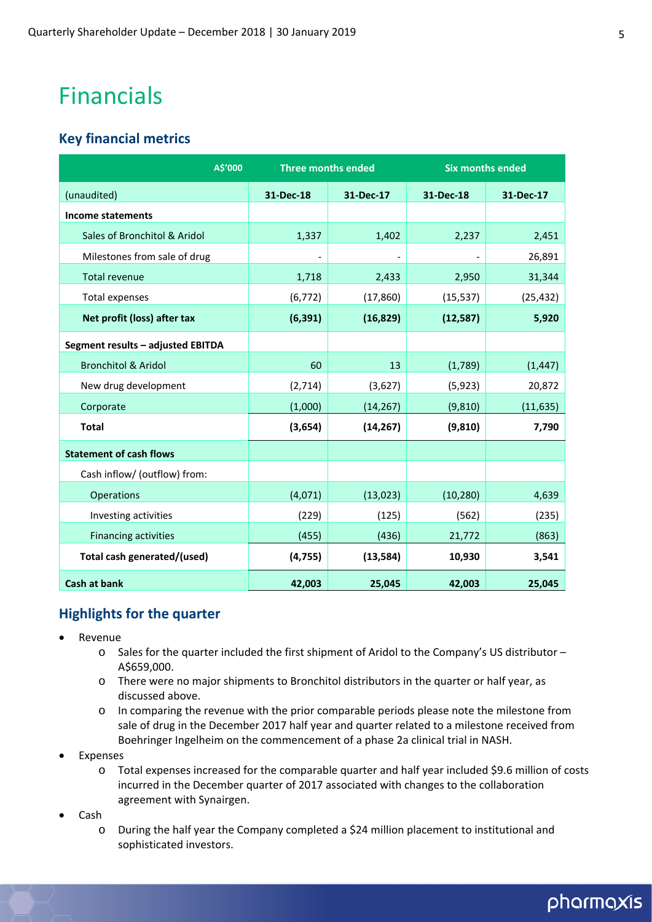## Financials

#### **Key financial metrics**

| A\$'000                           | <b>Three months ended</b> |                          | <b>Six months ended</b> |           |
|-----------------------------------|---------------------------|--------------------------|-------------------------|-----------|
| (unaudited)                       | 31-Dec-18                 | 31-Dec-17                | 31-Dec-18               | 31-Dec-17 |
| <b>Income statements</b>          |                           |                          |                         |           |
| Sales of Bronchitol & Aridol      | 1,337                     | 1,402                    | 2,237                   | 2,451     |
| Milestones from sale of drug      | $\overline{\phantom{a}}$  | $\overline{\phantom{a}}$ |                         | 26,891    |
| <b>Total revenue</b>              | 1,718                     | 2,433                    | 2,950                   | 31,344    |
| <b>Total expenses</b>             | (6, 772)                  | (17, 860)                | (15, 537)               | (25, 432) |
| Net profit (loss) after tax       | (6, 391)                  | (16, 829)                | (12, 587)               | 5,920     |
| Segment results - adjusted EBITDA |                           |                          |                         |           |
| <b>Bronchitol &amp; Aridol</b>    | 60                        | 13                       | (1,789)                 | (1, 447)  |
| New drug development              | (2,714)                   | (3,627)                  | (5, 923)                | 20,872    |
| Corporate                         | (1,000)                   | (14, 267)                | (9, 810)                | (11, 635) |
| <b>Total</b>                      | (3,654)                   | (14, 267)                | (9, 810)                | 7,790     |
| <b>Statement of cash flows</b>    |                           |                          |                         |           |
| Cash inflow/ (outflow) from:      |                           |                          |                         |           |
| Operations                        | (4,071)                   | (13, 023)                | (10, 280)               | 4,639     |
| Investing activities              | (229)                     | (125)                    | (562)                   | (235)     |
| <b>Financing activities</b>       | (455)                     | (436)                    | 21,772                  | (863)     |
| Total cash generated/(used)       | (4, 755)                  | (13, 584)                | 10,930                  | 3,541     |
| <b>Cash at bank</b>               | 42,003                    | 25,045                   | 42,003                  | 25,045    |

#### **Highlights for the quarter**

- Revenue
	- o Sales for the quarter included the first shipment of Aridol to the Company's US distributor A\$659,000.
	- o There were no major shipments to Bronchitol distributors in the quarter or half year, as discussed above.
	- o In comparing the revenue with the prior comparable periods please note the milestone from sale of drug in the December 2017 half year and quarter related to a milestone received from Boehringer Ingelheim on the commencement of a phase 2a clinical trial in NASH.
- Expenses
	- o Total expenses increased for the comparable quarter and half year included \$9.6 million of costs incurred in the December quarter of 2017 associated with changes to the collaboration agreement with Synairgen.
- Cash
	- o During the half year the Company completed a \$24 million placement to institutional and sophisticated investors.

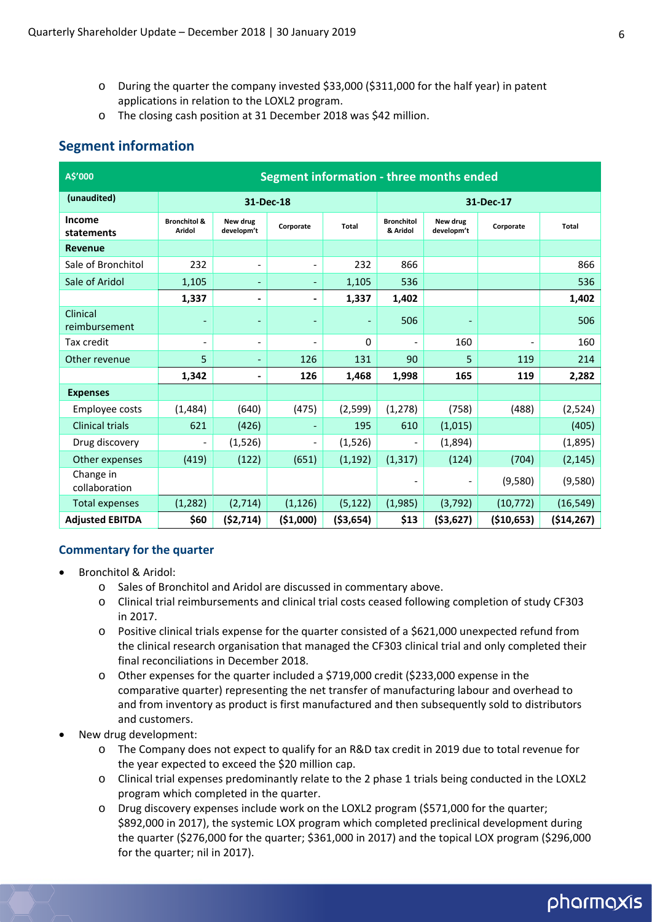- o During the quarter the company invested \$33,000 (\$311,000 for the half year) in patent applications in relation to the LOXL2 program.
- o The closing cash position at 31 December 2018 was \$42 million.

#### **Segment information**

| A\$'000                     | Segment information - three months ended |                          |                              |            |                               |                          |             |              |
|-----------------------------|------------------------------------------|--------------------------|------------------------------|------------|-------------------------------|--------------------------|-------------|--------------|
| (unaudited)                 | 31-Dec-18                                |                          |                              | 31-Dec-17  |                               |                          |             |              |
| <b>Income</b><br>statements | <b>Bronchitol &amp;</b><br>Aridol        | New drug<br>developm't   | Corporate                    | Total      | <b>Bronchitol</b><br>& Aridol | New drug<br>developm't   | Corporate   | Total        |
| <b>Revenue</b>              |                                          |                          |                              |            |                               |                          |             |              |
| Sale of Bronchitol          | 232                                      | $\overline{\phantom{a}}$ | $\overline{\phantom{0}}$     | 232        | 866                           |                          |             | 866          |
| Sale of Aridol              | 1,105                                    | $\overline{\phantom{a}}$ | $\overline{\phantom{a}}$     | 1,105      | 536                           |                          |             | 536          |
|                             | 1,337                                    | $\blacksquare$           | $\qquad \qquad \blacksquare$ | 1,337      | 1,402                         |                          |             | 1,402        |
| Clinical<br>reimbursement   |                                          |                          |                              |            | 506                           |                          |             | 506          |
| Tax credit                  | $\overline{\phantom{a}}$                 | $\overline{\phantom{a}}$ |                              | 0          | $\qquad \qquad \blacksquare$  | 160                      |             | 160          |
| Other revenue               | 5                                        | $\overline{\phantom{a}}$ | 126                          | 131        | 90                            | 5                        | 119         | 214          |
|                             | 1,342                                    | $\overline{\phantom{a}}$ | 126                          | 1,468      | 1,998                         | 165                      | 119         | 2,282        |
| <b>Expenses</b>             |                                          |                          |                              |            |                               |                          |             |              |
| Employee costs              | (1, 484)                                 | (640)                    | (475)                        | (2,599)    | (1, 278)                      | (758)                    | (488)       | (2,524)      |
| <b>Clinical trials</b>      | 621                                      | (426)                    |                              | 195        | 610                           | (1,015)                  |             | (405)        |
| Drug discovery              |                                          | (1,526)                  | $\overline{\phantom{a}}$     | (1,526)    |                               | (1,894)                  |             | (1,895)      |
| Other expenses              | (419)                                    | (122)                    | (651)                        | (1, 192)   | (1, 317)                      | (124)                    | (704)       | (2, 145)     |
| Change in<br>collaboration  |                                          |                          |                              |            | $\overline{\phantom{a}}$      | $\overline{\phantom{a}}$ | (9,580)     | (9,580)      |
| <b>Total expenses</b>       | (1, 282)                                 | (2,714)                  | (1, 126)                     | (5, 122)   | (1,985)                       | (3, 792)                 | (10, 772)   | (16, 549)    |
| <b>Adjusted EBITDA</b>      | \$60                                     | (52, 714)                | ( \$1,000)                   | ( \$3,654) | \$13                          | ( \$3,627)               | ( \$10,653) | ( \$14, 267) |

#### **Commentary for the quarter**

- Bronchitol & Aridol:
	- o Sales of Bronchitol and Aridol are discussed in commentary above.
	- o Clinical trial reimbursements and clinical trial costs ceased following completion of study CF303 in 2017.
	- o Positive clinical trials expense for the quarter consisted of a \$621,000 unexpected refund from the clinical research organisation that managed the CF303 clinical trial and only completed their final reconciliations in December 2018.
	- o Other expenses for the quarter included a \$719,000 credit (\$233,000 expense in the comparative quarter) representing the net transfer of manufacturing labour and overhead to and from inventory as product is first manufactured and then subsequently sold to distributors and customers.
- New drug development:
	- o The Company does not expect to qualify for an R&D tax credit in 2019 due to total revenue for the year expected to exceed the \$20 million cap.
	- o Clinical trial expenses predominantly relate to the 2 phase 1 trials being conducted in the LOXL2 program which completed in the quarter.
	- o Drug discovery expenses include work on the LOXL2 program (\$571,000 for the quarter; \$892,000 in 2017), the systemic LOX program which completed preclinical development during the quarter (\$276,000 for the quarter; \$361,000 in 2017) and the topical LOX program (\$296,000 for the quarter; nil in 2017).

### pharmaxis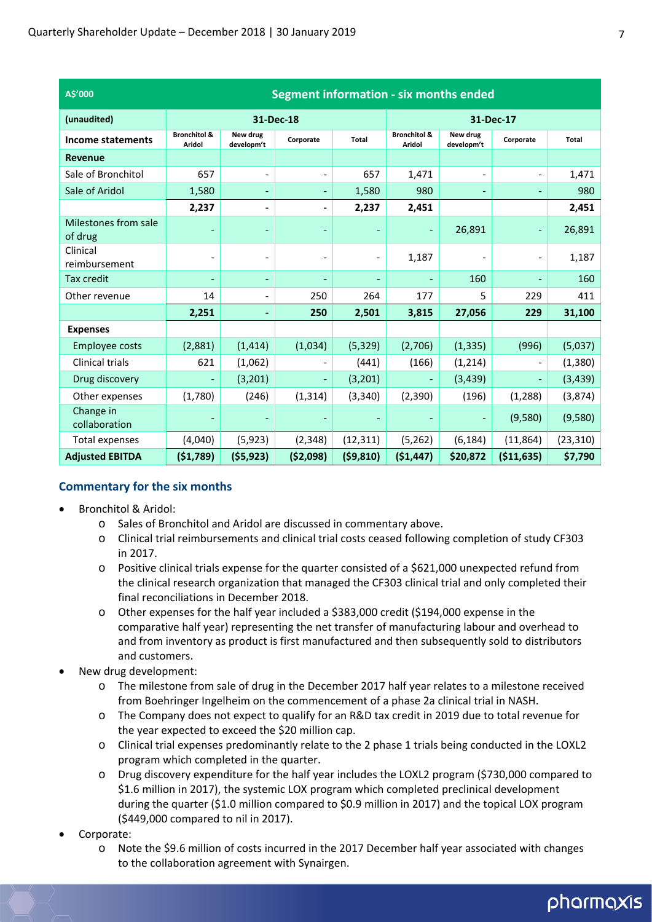| A\$'000                         | <b>Segment information - six months ended</b> |                          |                          |                          |                                   |                          |                          |           |
|---------------------------------|-----------------------------------------------|--------------------------|--------------------------|--------------------------|-----------------------------------|--------------------------|--------------------------|-----------|
| (unaudited)                     | 31-Dec-18                                     |                          |                          | 31-Dec-17                |                                   |                          |                          |           |
| Income statements               | <b>Bronchitol &amp;</b><br><b>Aridol</b>      | New drug<br>developm't   | Corporate                | Total                    | <b>Bronchitol &amp;</b><br>Aridol | New drug<br>developm't   | Corporate                | Total     |
| Revenue                         |                                               |                          |                          |                          |                                   |                          |                          |           |
| Sale of Bronchitol              | 657                                           | $\overline{\phantom{a}}$ | $\overline{\phantom{a}}$ | 657                      | 1,471                             |                          | $\overline{\phantom{a}}$ | 1,471     |
| Sale of Aridol                  | 1,580                                         | $\overline{\phantom{a}}$ | $\overline{\phantom{a}}$ | 1,580                    | 980                               |                          | $\overline{\phantom{a}}$ | 980       |
|                                 | 2,237                                         | ۰                        | $\blacksquare$           | 2,237                    | 2,451                             |                          |                          | 2,451     |
| Milestones from sale<br>of drug |                                               |                          |                          |                          |                                   | 26,891                   | $\overline{\phantom{a}}$ | 26,891    |
| Clinical<br>reimbursement       | $\overline{a}$                                |                          |                          |                          | 1,187                             |                          |                          | 1,187     |
| <b>Tax credit</b>               | -                                             | $\overline{\phantom{a}}$ | $\overline{\phantom{a}}$ | $\overline{\phantom{a}}$ |                                   | 160                      | $\overline{\phantom{a}}$ | 160       |
| Other revenue                   | 14                                            | $\overline{a}$           | 250                      | 264                      | 177                               | 5                        | 229                      | 411       |
|                                 | 2,251                                         |                          | 250                      | 2,501                    | 3,815                             | 27,056                   | 229                      | 31,100    |
| <b>Expenses</b>                 |                                               |                          |                          |                          |                                   |                          |                          |           |
| Employee costs                  | (2,881)                                       | (1, 414)                 | (1,034)                  | (5, 329)                 | (2,706)                           | (1, 335)                 | (996)                    | (5,037)   |
| Clinical trials                 | 621                                           | (1,062)                  |                          | (441)                    | (166)                             | (1, 214)                 |                          | (1, 380)  |
| Drug discovery                  |                                               | (3,201)                  |                          | (3,201)                  |                                   | (3, 439)                 |                          | (3, 439)  |
| Other expenses                  | (1,780)                                       | (246)                    | (1, 314)                 | (3, 340)                 | (2,390)                           | (196)                    | (1, 288)                 | (3,874)   |
| Change in<br>collaboration      |                                               |                          |                          |                          |                                   | $\overline{\phantom{a}}$ | (9,580)                  | (9,580)   |
| Total expenses                  | (4,040)                                       | (5, 923)                 | (2, 348)                 | (12, 311)                | (5, 262)                          | (6, 184)                 | (11, 864)                | (23, 310) |
| <b>Adjusted EBITDA</b>          | (51,789)                                      | (55, 923)                | ( \$2,098)               | (59, 810)                | (\$1,447)                         | \$20,872                 | (\$11,635)               | \$7,790   |

#### **Commentary for the six months**

- Bronchitol & Aridol:
	- o Sales of Bronchitol and Aridol are discussed in commentary above.
	- o Clinical trial reimbursements and clinical trial costs ceased following completion of study CF303 in 2017.
	- o Positive clinical trials expense for the quarter consisted of a \$621,000 unexpected refund from the clinical research organization that managed the CF303 clinical trial and only completed their final reconciliations in December 2018.
	- o Other expenses for the half year included a \$383,000 credit (\$194,000 expense in the comparative half year) representing the net transfer of manufacturing labour and overhead to and from inventory as product is first manufactured and then subsequently sold to distributors and customers.
- New drug development:
	- o The milestone from sale of drug in the December 2017 half year relates to a milestone received from Boehringer Ingelheim on the commencement of a phase 2a clinical trial in NASH.
	- o The Company does not expect to qualify for an R&D tax credit in 2019 due to total revenue for the year expected to exceed the \$20 million cap.
	- o Clinical trial expenses predominantly relate to the 2 phase 1 trials being conducted in the LOXL2 program which completed in the quarter.
	- o Drug discovery expenditure for the half year includes the LOXL2 program (\$730,000 compared to \$1.6 million in 2017), the systemic LOX program which completed preclinical development during the quarter (\$1.0 million compared to \$0.9 million in 2017) and the topical LOX program (\$449,000 compared to nil in 2017).
- Corporate:
	- o Note the \$9.6 million of costs incurred in the 2017 December half year associated with changes to the collaboration agreement with Synairgen.

### pharmaxis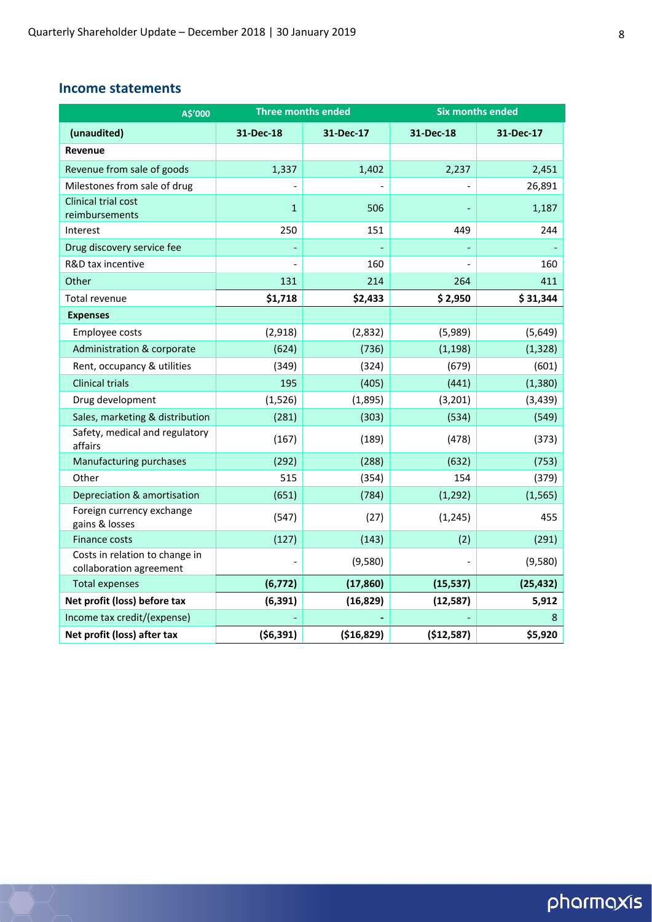#### **Income statements**

| A\$'000                                                   | <b>Three months ended</b> |            | <b>Six months ended</b> |           |  |
|-----------------------------------------------------------|---------------------------|------------|-------------------------|-----------|--|
| (unaudited)                                               | 31-Dec-18                 | 31-Dec-17  | 31-Dec-18               | 31-Dec-17 |  |
| <b>Revenue</b>                                            |                           |            |                         |           |  |
| Revenue from sale of goods                                | 1,337                     | 1,402      | 2,237                   | 2,451     |  |
| Milestones from sale of drug                              |                           |            |                         | 26,891    |  |
| <b>Clinical trial cost</b><br>reimbursements              | $\mathbf{1}$              | 506        |                         | 1,187     |  |
| Interest                                                  | 250                       | 151        | 449                     | 244       |  |
| Drug discovery service fee                                |                           |            |                         |           |  |
| R&D tax incentive                                         |                           | 160        |                         | 160       |  |
| Other                                                     | 131                       | 214        | 264                     | 411       |  |
| Total revenue                                             | \$1,718                   | \$2,433    | \$2,950                 | \$31,344  |  |
| <b>Expenses</b>                                           |                           |            |                         |           |  |
| Employee costs                                            | (2,918)                   | (2,832)    | (5,989)                 | (5,649)   |  |
| Administration & corporate                                | (624)                     | (736)      | (1, 198)                | (1, 328)  |  |
| Rent, occupancy & utilities                               | (349)                     | (324)      | (679)                   | (601)     |  |
| <b>Clinical trials</b>                                    | 195                       | (405)      | (441)                   | (1, 380)  |  |
| Drug development                                          | (1, 526)                  | (1,895)    | (3,201)                 | (3, 439)  |  |
| Sales, marketing & distribution                           | (281)                     | (303)      | (534)                   | (549)     |  |
| Safety, medical and regulatory<br>affairs                 | (167)                     | (189)      | (478)                   | (373)     |  |
| Manufacturing purchases                                   | (292)                     | (288)      | (632)                   | (753)     |  |
| Other                                                     | 515                       | (354)      | 154                     | (379)     |  |
| Depreciation & amortisation                               | (651)                     | (784)      | (1, 292)                | (1, 565)  |  |
| Foreign currency exchange<br>gains & losses               | (547)                     | (27)       | (1, 245)                | 455       |  |
| Finance costs                                             | (127)                     | (143)      | (2)                     | (291)     |  |
| Costs in relation to change in<br>collaboration agreement |                           | (9,580)    |                         | (9,580)   |  |
| <b>Total expenses</b>                                     | (6, 772)                  | (17, 860)  | (15, 537)               | (25, 432) |  |
| Net profit (loss) before tax                              | (6, 391)                  | (16, 829)  | (12, 587)               | 5,912     |  |
| Income tax credit/(expense)                               |                           |            |                         | 8         |  |
| Net profit (loss) after tax                               | (56, 391)                 | (\$16,829) | (\$12,587)              | \$5,920   |  |